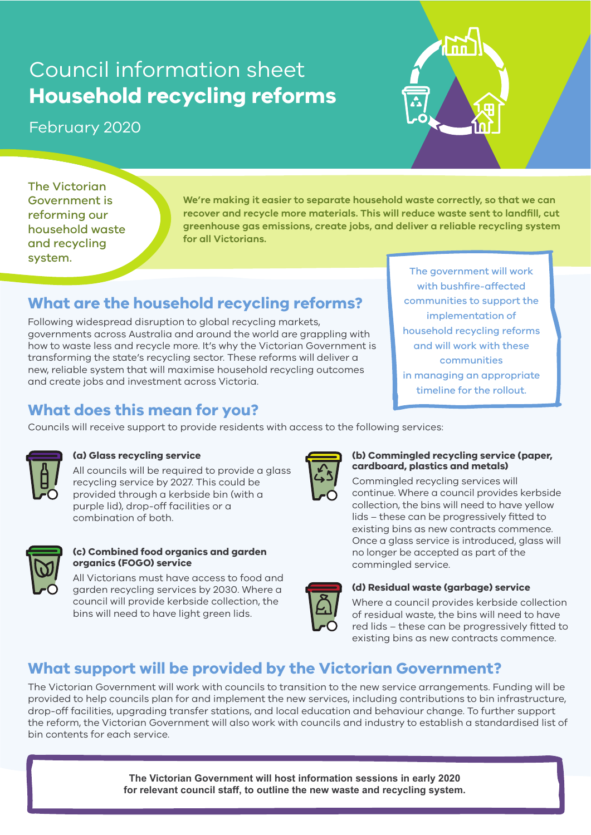# Council information sheet **Household recycling reforms**

# February 2020



The Victorian Government is reforming our household waste and recycling system.

**We're making it easier to separate household waste correctly, so that we can recover and recycle more materials. This will reduce waste sent to landfill, cut greenhouse gas emissions, create jobs, and deliver a reliable recycling system for all Victorians.**

# **What are the household recycling reforms?**

Following widespread disruption to global recycling markets, governments across Australia and around the world are grappling with how to waste less and recycle more. It's why the Victorian Government is transforming the state's recycling sector. These reforms will deliver a new, reliable system that will maximise household recycling outcomes and create jobs and investment across Victoria.

The government will work with bushfire-affected communities to support the implementation of household recycling reforms and will work with these communities in managing an appropriate timeline for the rollout.

# **What does this mean for you?**

Councils will receive support to provide residents with access to the following services:



#### **(a) Glass recycling service**

All councils will be required to provide a glass recycling service by 2027. This could be provided through a kerbside bin (with a purple lid), drop-off facilities or a combination of both.



#### **(c) Combined food organics and garden organics (FOGO) service**

All Victorians must have access to food and garden recycling services by 2030. Where a council will provide kerbside collection, the bins will need to have light green lids.



#### **(b) Commingled recycling service (paper, cardboard, plastics and metals)**

Commingled recycling services will continue. Where a council provides kerbside collection, the bins will need to have yellow lids – these can be progressively fitted to existing bins as new contracts commence. Once a glass service is introduced, glass will no longer be accepted as part of the commingled service.



#### **(d) Residual waste (garbage) service**

Where a council provides kerbside collection of residual waste, the bins will need to have red lids – these can be progressively fitted to existing bins as new contracts commence.

# **What support will be provided by the Victorian Government?**

The Victorian Government will work with councils to transition to the new service arrangements. Funding will be provided to help councils plan for and implement the new services, including contributions to bin infrastructure, drop-off facilities, upgrading transfer stations, and local education and behaviour change. To further support the reform, the Victorian Government will also work with councils and industry to establish a standardised list of bin contents for each service.

> **The Victorian Government will host information sessions in early 2020 for relevant council staff, to outline the new waste and recycling system.**